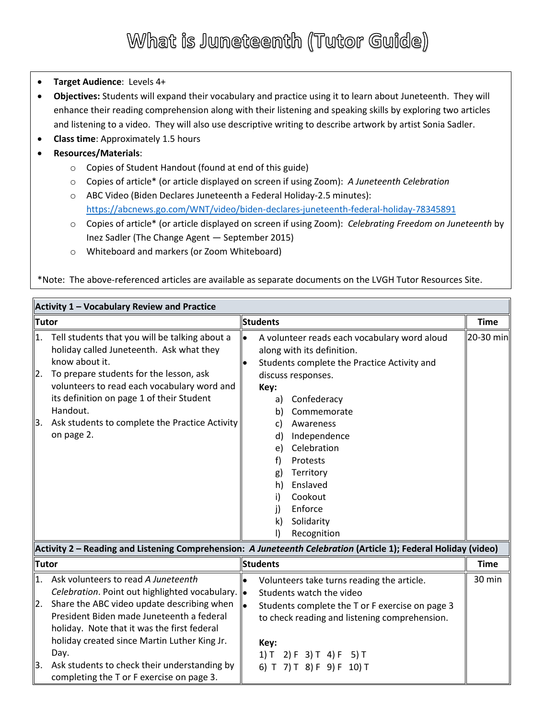#### What is Juneteenth (Tutor Guide)

- **Target Audience**: Levels 4+
- **Objectives:** Students will expand their vocabulary and practice using it to learn about Juneteenth. They will enhance their reading comprehension along with their listening and speaking skills by exploring two articles and listening to a video. They will also use descriptive writing to describe artwork by artist Sonia Sadler.
- **Class time**: Approximately 1.5 hours
- **Resources/Materials**:
	- o Copies of Student Handout (found at end of this guide)
	- o Copies of article\* (or article displayed on screen if using Zoom): *A Juneteenth Celebration*
	- o ABC Video (Biden Declares Juneteenth a Federal Holiday-2.5 minutes): <https://abcnews.go.com/WNT/video/biden-declares-juneteenth-federal-holiday-78345891>
	- o Copies of article\* (or article displayed on screen if using Zoom): *Celebrating Freedom on Juneteenth* by Inez Sadler (The Change Agent — September 2015)
	- o Whiteboard and markers (or Zoom Whiteboard)

\*Note: The above-referenced articles are available as separate documents on the LVGH Tutor Resources Site.

| Activity 1 - Vocabulary Review and Practice |                                                                                                                                                                                                                                                                                                                                 |           |                                                                        |                                                                                                                                                                                                                                                                                                                   |             |
|---------------------------------------------|---------------------------------------------------------------------------------------------------------------------------------------------------------------------------------------------------------------------------------------------------------------------------------------------------------------------------------|-----------|------------------------------------------------------------------------|-------------------------------------------------------------------------------------------------------------------------------------------------------------------------------------------------------------------------------------------------------------------------------------------------------------------|-------------|
| <b>Tutor</b>                                |                                                                                                                                                                                                                                                                                                                                 |           | <b>Students</b>                                                        |                                                                                                                                                                                                                                                                                                                   |             |
| 1.<br> 2.<br>3.                             | Tell students that you will be talking about a<br>holiday called Juneteenth. Ask what they<br>know about it.<br>To prepare students for the lesson, ask<br>volunteers to read each vocabulary word and<br>its definition on page 1 of their Student<br>Handout.<br>Ask students to complete the Practice Activity<br>on page 2. | $\bullet$ | Key:<br>a)<br>b)<br>C)<br>d)<br>e)<br>f)<br>g)<br>h)<br>i)<br>j)<br>k) | A volunteer reads each vocabulary word aloud<br>along with its definition.<br>Students complete the Practice Activity and<br>discuss responses.<br>Confederacy<br>Commemorate<br>Awareness<br>Independence<br>Celebration<br>Protests<br>Territory<br>Enslaved<br>Cookout<br>Enforce<br>Solidarity<br>Recognition | 20-30 min   |
|                                             | Activity 2 - Reading and Listening Comprehension: A Juneteenth Celebration (Article 1); Federal Holiday (video)                                                                                                                                                                                                                 |           |                                                                        |                                                                                                                                                                                                                                                                                                                   | <b>Time</b> |
| <b>Tutor</b>                                |                                                                                                                                                                                                                                                                                                                                 |           | <b>Students</b>                                                        |                                                                                                                                                                                                                                                                                                                   |             |
| 1.                                          | Ask volunteers to read A Juneteenth<br>Celebration. Point out highlighted vocabulary. $\left\  \bullet \right\ $                                                                                                                                                                                                                |           |                                                                        | Volunteers take turns reading the article.<br>Students watch the video                                                                                                                                                                                                                                            | 30 min      |
| $\overline{2}$ .                            | Share the ABC video update describing when<br>Prosident Riden made Juneteenth a federal                                                                                                                                                                                                                                         | lle.      |                                                                        | Students complete the T or F exercise on page 3<br>ويمتمونه والموسومون والمتارين والمسمر ومتلو وممر بالممام لمط                                                                                                                                                                                                   |             |

|     | President Biden made Juneteenth a federal<br>holiday. Note that it was the first federal | to check reading and listening comprehension. |  |
|-----|------------------------------------------------------------------------------------------|-----------------------------------------------|--|
|     | holiday created since Martin Luther King Jr.                                             | Kev:                                          |  |
|     | Day.                                                                                     | $1) T$ 2) F 3) T 4) F 5) T                    |  |
| IЗ. | Ask students to check their understanding by                                             | 6) T 7) T 8) F 9) F 10) T                     |  |
|     | completing the T or F exercise on page 3.                                                |                                               |  |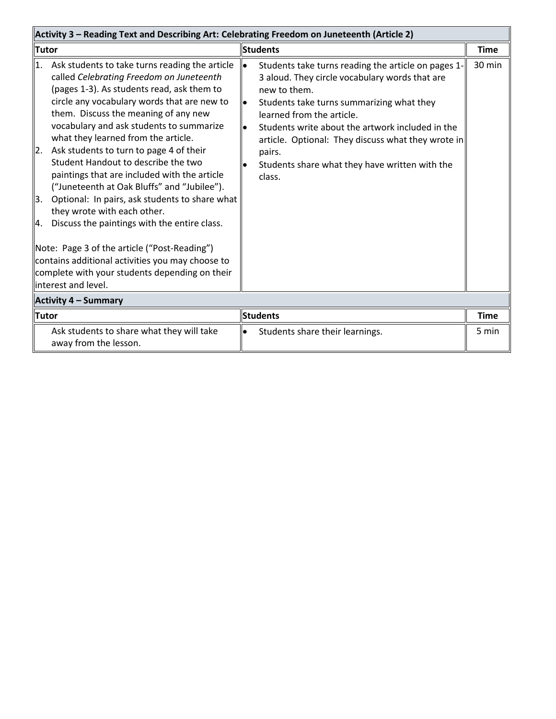| Activity 3 - Reading Text and Describing Art: Celebrating Freedom on Juneteenth (Article 2) |                                                                                                                                                                                                                                                                                                                                                                                                                                                                                                                                                                                                                                                                                                                                                                                            |                              |                                                                                                                                                                                                                                                                                                                                                                                 |             |  |  |
|---------------------------------------------------------------------------------------------|--------------------------------------------------------------------------------------------------------------------------------------------------------------------------------------------------------------------------------------------------------------------------------------------------------------------------------------------------------------------------------------------------------------------------------------------------------------------------------------------------------------------------------------------------------------------------------------------------------------------------------------------------------------------------------------------------------------------------------------------------------------------------------------------|------------------------------|---------------------------------------------------------------------------------------------------------------------------------------------------------------------------------------------------------------------------------------------------------------------------------------------------------------------------------------------------------------------------------|-------------|--|--|
| <b>Tutor</b>                                                                                |                                                                                                                                                                                                                                                                                                                                                                                                                                                                                                                                                                                                                                                                                                                                                                                            | <b>Students</b>              |                                                                                                                                                                                                                                                                                                                                                                                 | <b>Time</b> |  |  |
| 1.<br> 2.<br>3.<br>Ι4.                                                                      | Ask students to take turns reading the article<br>called Celebrating Freedom on Juneteenth<br>(pages 1-3). As students read, ask them to<br>circle any vocabulary words that are new to<br>them. Discuss the meaning of any new<br>vocabulary and ask students to summarize<br>what they learned from the article.<br>Ask students to turn to page 4 of their<br>Student Handout to describe the two<br>paintings that are included with the article<br>("Juneteenth at Oak Bluffs" and "Jubilee").<br>Optional: In pairs, ask students to share what<br>they wrote with each other.<br>Discuss the paintings with the entire class.<br>Note: Page 3 of the article ("Post-Reading")<br>contains additional activities you may choose to<br>complete with your students depending on their | lo<br>$\bullet$<br>$\bullet$ | Students take turns reading the article on pages 1-<br>3 aloud. They circle vocabulary words that are<br>new to them.<br>Students take turns summarizing what they<br>learned from the article.<br>Students write about the artwork included in the<br>article. Optional: They discuss what they wrote in<br>pairs.<br>Students share what they have written with the<br>class. | 30 min      |  |  |
|                                                                                             | llinterest and level.                                                                                                                                                                                                                                                                                                                                                                                                                                                                                                                                                                                                                                                                                                                                                                      |                              |                                                                                                                                                                                                                                                                                                                                                                                 |             |  |  |
|                                                                                             | Activity 4 – Summary                                                                                                                                                                                                                                                                                                                                                                                                                                                                                                                                                                                                                                                                                                                                                                       |                              |                                                                                                                                                                                                                                                                                                                                                                                 |             |  |  |
| <b>Tutor</b>                                                                                |                                                                                                                                                                                                                                                                                                                                                                                                                                                                                                                                                                                                                                                                                                                                                                                            | <b>Students</b>              |                                                                                                                                                                                                                                                                                                                                                                                 | <b>Time</b> |  |  |
|                                                                                             | Ask students to share what they will take<br>away from the lesson.                                                                                                                                                                                                                                                                                                                                                                                                                                                                                                                                                                                                                                                                                                                         | $\bullet$                    | Students share their learnings.                                                                                                                                                                                                                                                                                                                                                 | 5 min       |  |  |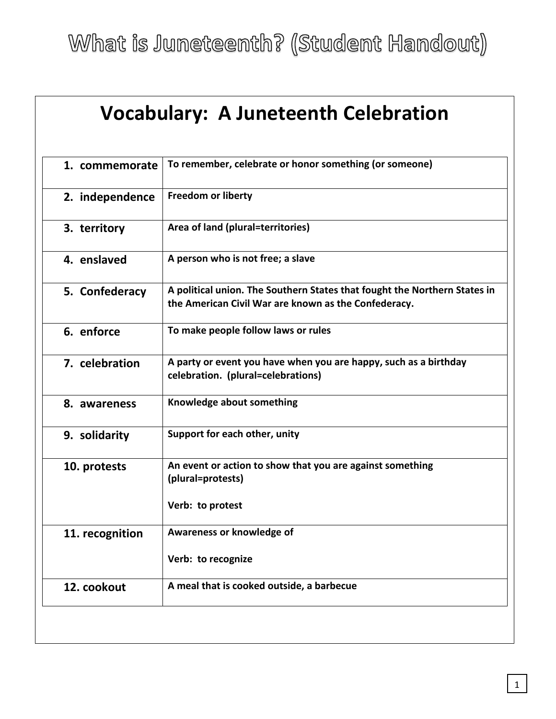What is Juneteenth? (Student Handout)

| 1. commemorate  | To remember, celebrate or honor something (or someone)                                                                            |
|-----------------|-----------------------------------------------------------------------------------------------------------------------------------|
| 2. independence | <b>Freedom or liberty</b>                                                                                                         |
| 3. territory    | Area of land (plural=territories)                                                                                                 |
| 4. enslaved     | A person who is not free; a slave                                                                                                 |
| 5. Confederacy  | A political union. The Southern States that fought the Northern States in<br>the American Civil War are known as the Confederacy. |
| 6. enforce      | To make people follow laws or rules                                                                                               |
| 7. celebration  | A party or event you have when you are happy, such as a birthday<br>celebration. (plural=celebrations)                            |
| 8. awareness    | Knowledge about something                                                                                                         |
| 9. solidarity   | Support for each other, unity                                                                                                     |
| 10. protests    | An event or action to show that you are against something<br>(plural=protests)                                                    |
|                 | Verb: to protest                                                                                                                  |
| 11. recognition | Awareness or knowledge of                                                                                                         |
|                 | Verb: to recognize                                                                                                                |
| 12. cookout     | A meal that is cooked outside, a barbecue                                                                                         |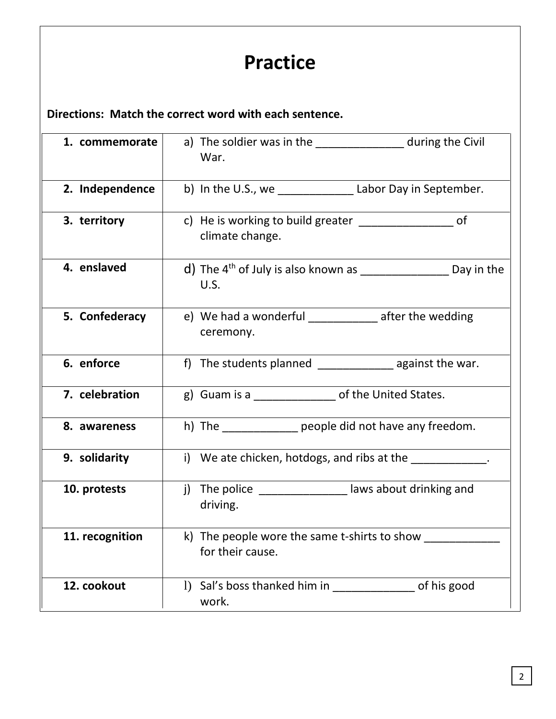# **Practice**

**Directions: Match the correct word with each sentence.**

| 1. commemorate  | a) The soldier was in the _________________ during the Civil<br>War.                      |
|-----------------|-------------------------------------------------------------------------------------------|
| 2. Independence | b) In the U.S., we Labor Day in September.                                                |
| 3. territory    | c) He is working to build greater _______________<br>0f<br>climate change.                |
| 4. enslaved     | d) The $4^{th}$ of July is also known as $\frac{1}{2}$ equanglentation Day in the<br>U.S. |
| 5. Confederacy  | e) We had a wonderful ______________ after the wedding<br>ceremony.                       |
| 6. enforce      | f) The students planned __________________ against the war.                               |
| 7. celebration  | g) Guam is a ________________ of the United States.                                       |
| 8. awareness    | h) The people did not have any freedom.                                                   |
| 9. solidarity   | i) We ate chicken, hotdogs, and ribs at the                                               |
| 10. protests    | j) The police __________________ laws about drinking and<br>driving.                      |
| 11. recognition | k) The people wore the same t-shirts to show ________<br>for their cause.                 |
| 12. cookout     | 1) Sal's boss thanked him in<br>of his good<br>work.                                      |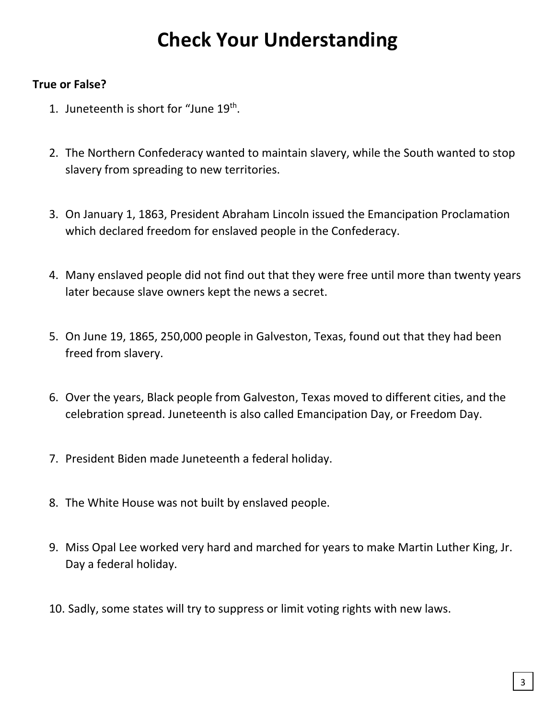## **Check Your Understanding**

#### **True or False?**

- 1. Juneteenth is short for "June 19<sup>th</sup>.
- 2. The Northern Confederacy wanted to maintain slavery, while the South wanted to stop slavery from spreading to new territories.
- 3. On January 1, 1863, President Abraham Lincoln issued the Emancipation Proclamation which declared freedom for enslaved people in the Confederacy.
- 4. Many enslaved people did not find out that they were free until more than twenty years later because slave owners kept the news a secret.
- 5. On June 19, 1865, 250,000 people in Galveston, Texas, found out that they had been freed from slavery.
- 6. Over the years, Black people from Galveston, Texas moved to different cities, and the celebration spread. Juneteenth is also called Emancipation Day, or Freedom Day.
- 7. President Biden made Juneteenth a federal holiday.
- 8. The White House was not built by enslaved people.
- 9. Miss Opal Lee worked very hard and marched for years to make Martin Luther King, Jr. Day a federal holiday.
- 10. Sadly, some states will try to suppress or limit voting rights with new laws.